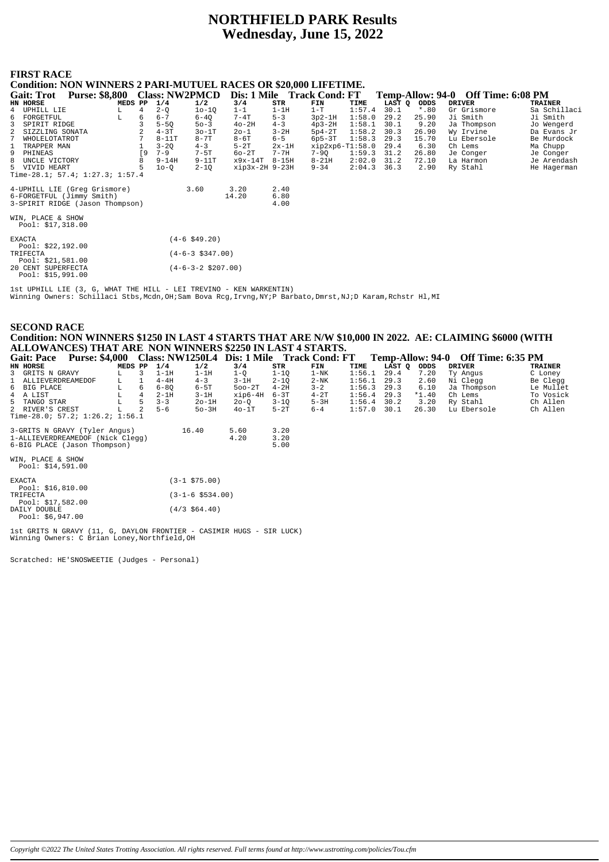# **NORTHFIELD PARK Results** Wednesday, June 15, 2022

# **FIRST RACE**

**Condition: NON WINNERS 2 PARI-MUTUEL RACES OR \$20,000 LIFETIME.** 

|                   | CONGRUON, INCH WINNERS 2 I ARPINU I CEL RACES OR \$20,000 LIFETIME.<br>Dis: 1 Mile Track Cond: FT |         |    |           |                       |                |          |                   |        |        |         |                                    |                |
|-------------------|---------------------------------------------------------------------------------------------------|---------|----|-----------|-----------------------|----------------|----------|-------------------|--------|--------|---------|------------------------------------|----------------|
| <b>Gait: Trot</b> | <b>Purse: \$8,800</b>                                                                             |         |    |           | <b>Class: NW2PMCD</b> |                |          |                   |        |        |         | Temp-Allow: 94-0 Off Time: 6:08 PM |                |
| HN HORSE          |                                                                                                   | MEDS PP |    | 1/4       | 1/2                   | 3/4            | STR      | FIN               | TIME   | LAST Q | ODDS    | <b>DRIVER</b>                      | <b>TRAINER</b> |
| 4 UPHILL LIE      |                                                                                                   | L.      | 4  | $2 - 0$   | $10 - 10$             | $1 - 1$        | $1-1H$   | $1-T$             | 1:57.4 | 30.1   | $*$ .80 | Gr Grismore                        | Sa Schillaci   |
| FORGETFUL<br>6    |                                                                                                   | L       | 6  | $6 - 7$   | $6 - 40$              | $7 - 4T$       | $5 - 3$  | $3p2-1H$          | 1:58.0 | 29.2   | 25.90   | Ji Smith                           | Ji Smith       |
| 3                 | SPIRIT RIDGE                                                                                      |         |    | $5-5Q$    | $50 - 3$              | $40-2H$        | $4 - 3$  | $4p3-2H$          | 1:58.1 | 30.1   | 9.20    | Ja Thompson                        | Jo Wengerd     |
|                   | SIZZLING SONATA                                                                                   |         |    | $4-3T$    | $30-1T$               | $20 - 1$       | $3 - 2H$ | $5p4-2T$          | 1:58.2 | 30.3   | 26.90   | Wy Irvine                          | Da Evans Jr    |
|                   | WHOLELOTATROT                                                                                     |         |    | $8 - 11T$ | $8 - 7T$              | $8-6T$         | $6 - 5$  | $6p5-3T$          | 1:58.3 | 29.3   | 15.70   | Lu Ebersole                        | Be Murdock     |
|                   | TRAPPER MAN                                                                                       |         |    | $3 - 20$  | $4 - 3$               | $5-2T$         | $2x-1H$  | $xip2xp6-T1:58.0$ |        | 29.4   | 6.30    | Ch Lems                            | Ma Chupp       |
| 9<br>PHINEAS      |                                                                                                   |         | 〔9 | $7 - 9$   | $7 - 5T$              | $60-2T$        | $7 - 7H$ | 7-9Q              | 1:59.3 | 31.2   | 26.80   | Je Conger                          | Je Conger      |
| 8                 | UNCLE VICTORY                                                                                     |         | 8  | $9 - 14H$ | $9 - 11T$             | x9x-14T        | $8-15H$  | $8 - 21H$         | 2:02.0 | 31.2   | 72.10   | La Harmon                          | Je Arendash    |
| 5 VIVID HEART     |                                                                                                   |         | 5  | $10-Q$    | $2 - 1Q$              | xip3x-2H 9-23H |          | $9 - 34$          | 2:04.3 | 36.3   | 2.90    | Ry Stahl                           | He Hagerman    |
|                   | Time-28.1; 57.4; $1:27.3$ ; $1:57.4$                                                              |         |    |           |                       |                |          |                   |        |        |         |                                    |                |
|                   | 4-UPHILL LIE (Greq Grismore)                                                                      |         |    |           | 3.60                  | 3.20           | 2.40     |                   |        |        |         |                                    |                |
|                   | 6-FORGETFUL (Jimmy Smith)                                                                         |         |    |           |                       | 14.20          | 6.80     |                   |        |        |         |                                    |                |
|                   | 3-SPIRIT RIDGE (Jason Thompson)                                                                   |         |    |           |                       |                | 4.00     |                   |        |        |         |                                    |                |
|                   |                                                                                                   |         |    |           |                       |                |          |                   |        |        |         |                                    |                |
|                   | WIN, PLACE & SHOW                                                                                 |         |    |           |                       |                |          |                   |        |        |         |                                    |                |
|                   | Pool: $$17,318.00$                                                                                |         |    |           |                       |                |          |                   |        |        |         |                                    |                |
|                   |                                                                                                   |         |    |           |                       |                |          |                   |        |        |         |                                    |                |
| <b>EXACTA</b>     |                                                                                                   |         |    |           | $(4-6$ \$49.20)       |                |          |                   |        |        |         |                                    |                |
|                   | Pool: $$22,192.00$                                                                                |         |    |           |                       |                |          |                   |        |        |         |                                    |                |
| TRIFECTA          |                                                                                                   |         |    |           | $(4-6-3 \ $347.00)$   |                |          |                   |        |        |         |                                    |                |
|                   | Pool: $$21,581.00$                                                                                |         |    |           |                       |                |          |                   |        |        |         |                                    |                |
|                   | 20 CENT SUPERFECTA<br>$D_{00}1 \cdot 215.001.00$                                                  |         |    |           | $(4-6-3-2 \ $207.00)$ |                |          |                   |        |        |         |                                    |                |

lst UPHILL LIE (3, G, WHAT THE HILL - LEI TREVINO - KEN WARKENTIN)<br>Winning Owners: Schillaci Stbs, Mcdn, OH;Sam Bova Rcg, Irvng, NY;P Barbato, Dmrst, NJ;D Karam, Rchstr Hl, MI

#### **SECOND RACE** Condition: NON WINNERS \$1250 IN LAST 4 STARTS THAT ARE N/W \$10,000 IN 2022. AE: CLAIMING \$6000 (WITH ALLOWANCES) THAT ARE NON WINNERS \$2250 IN LAST 4 STARTS. Gait: Pace Purse: \$4,000 Class: NW1250L4 Dis: 1 Mile Track Cond: FT  $T_{\text{emm}}\Delta\text{llow}\cdot 94.0$  Off Time 6.35 PM

| $\sim$ with a week                                    | $\sim$ $\mu$ . $\sim$ $\sim$ $\sim$ |         |                |          | $\frac{1}{2}$        |          |          | $D10$ , $D21$ , $D31$ , $D4$ , $D5$ , $D6$ , $D7$ , $D8$ |               |        |         | $1.44$ $1.44$ , $1.44$ , $1.44$ , $1.44$ , $1.44$ , $1.44$ |           |
|-------------------------------------------------------|-------------------------------------|---------|----------------|----------|----------------------|----------|----------|----------------------------------------------------------|---------------|--------|---------|------------------------------------------------------------|-----------|
| <b>HN HORSE</b>                                       |                                     | MEDS PP |                | 1/4      | 1/2                  | 3/4      | STR      | FIN                                                      | TIME          | LAST Q | ODDS    | <b>DRIVER</b>                                              | TRAINER   |
| 3 GRITS N GRAVY                                       | L.                                  |         | 3              | $1-1H$   | $1-1H$               | $1 - 0$  | $1 - 10$ | $1 - NK$                                                 | 1:56.1        | 29.4   | 7.20    | Ty Angus                                                   | C Loney   |
| 1 ALLIEVERDREAMEDOF                                   | L.                                  |         | -1             | $4-4H$   | $4 - 3$              | $3-1H$   | $2 - 10$ | $2-NK$                                                   | 1:56.1        | 29.3   | 2.60    | Ni Clegg                                                   | Be Clegg  |
| 6 BIG PLACE                                           | L                                   |         | 6              | $6 - 80$ | $6-5T$               | $500-2T$ | $4-2H$   | $3 - 2$                                                  | 1:56.3        | 29.3   | 6.10    | Ja Thompson                                                | Le Mullet |
| 4 A LIST                                              | L                                   |         | $\overline{4}$ | $2-1H$   | $3-1H$               | xip6-4H  | $6 - 3T$ | $4-2T$                                                   | 1:56.4        | 29.3   | $*1.40$ | Ch Lems                                                    | To Vosick |
| 5 TANGO STAR                                          | L                                   |         | 5              | $3 - 3$  | $2o-1H$              | $20 - 0$ | $3 - 10$ | $5-3H$                                                   | $1:56.4$ 30.2 |        | 3.20    | Ry Stahl                                                   | Ch Allen  |
| 2 RIVER'S CREST                                       | L                                   |         | 2              | $5 - 6$  | $50-3H$              | $40-1T$  | $5-2T$   | $6 - 4$                                                  | 1:57.0        | 30.1   | 26.30   | Lu Ebersole                                                | Ch Allen  |
| Time-28.0; 57.2; $1:26.2;$ $1:56.1$                   |                                     |         |                |          |                      |          |          |                                                          |               |        |         |                                                            |           |
| 3-GRITS N GRAVY (Tyler Angus)                         |                                     |         |                |          | 16.40                | 5.60     | 3.20     |                                                          |               |        |         |                                                            |           |
| 1-ALLIEVERDREAMEDOF (Nick Clegg)                      |                                     |         |                |          |                      | 4.20     | 3.20     |                                                          |               |        |         |                                                            |           |
| 6-BIG PLACE (Jason Thompson)                          |                                     |         |                |          |                      |          | 5.00     |                                                          |               |        |         |                                                            |           |
| WIN, PLACE & SHOW<br>Pool: \$14,591.00                |                                     |         |                |          |                      |          |          |                                                          |               |        |         |                                                            |           |
| EXACTA                                                |                                     |         |                |          | $(3-1$ \$75.00)      |          |          |                                                          |               |        |         |                                                            |           |
| Pool: \$16,810.00<br>TRIFECTA                         |                                     |         |                |          | $(3-1-6 \; $534.00)$ |          |          |                                                          |               |        |         |                                                            |           |
| Pool: \$17,582.00<br>DAILY DOUBLE<br>Pool: \$6,947.00 |                                     |         |                |          | $(4/3 \; $64.40)$    |          |          |                                                          |               |        |         |                                                            |           |
|                                                       |                                     |         |                |          |                      |          |          |                                                          |               |        |         |                                                            |           |

1st GRITS N GRAVY (11, G, DAYLON FRONTIER - CASIMIR HUGS - SIR LUCK)<br>Winning Owners: C Brian Loney, Northfield, OH

Scratched: HE'SNOSWEETIE (Judges - Personal)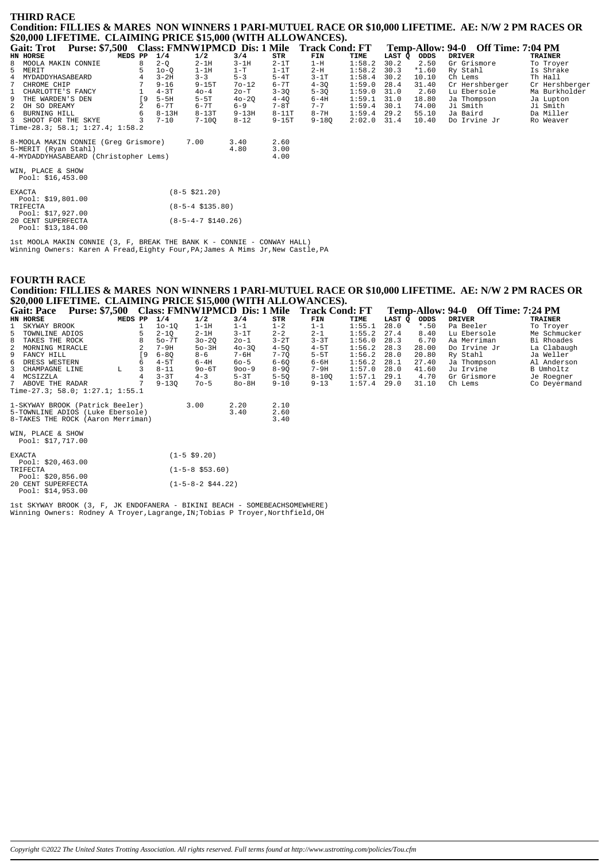### **THIRD RACE** Condition: FILLIES & MARES NON WINNERS 1 PARI-MUTUEL RACE OR \$10,000 LIFETIME. AE: N/W 2 PM RACES OR \$20,000 LIFETIME. CLAIMING PRICE \$15,000 (WITH ALLOWANCES).

| .                                          |         |           |                       |           |           |                                             |        |        |         |                                    |                |
|--------------------------------------------|---------|-----------|-----------------------|-----------|-----------|---------------------------------------------|--------|--------|---------|------------------------------------|----------------|
| <b>Gait: Trot</b><br><b>Purse: \$7,500</b> |         |           |                       |           |           | Class: FMNW1PMCD Dis: 1 Mile Track Cond: FT |        |        |         | Temp-Allow: 94-0 Off Time: 7:04 PM |                |
| <b>HN HORSE</b>                            | MEDS PP | 1/4       | 1/2                   | 3/4       | STR       | FIN                                         | TIME   | LAST Q | ODDS    | <b>DRIVER</b>                      | <b>TRAINER</b> |
| 8<br>MOOLA MAKIN CONNIE                    | 8       | $2-Q$     | $2-1H$                | $3 - 1H$  | $2-1T$    | $1-H$                                       | 1:58.2 | 30.2   | 2.50    | Gr Grismore                        | To Troyer      |
| 5<br>MERIT                                 |         | $10-0$    | $1-1H$                | $1-T$     | $1-1T$    | 2-H                                         | 1:58.2 | 30.3   | $*1.60$ | Ry Stahl                           | Is Shrake      |
| $\overline{4}$<br>MYDADDYHASABEARD         | 4       | $3 - 2H$  | $3 - 3$               | $5 - 3$   | $5-4T$    | $3-1T$                                      | 1:58.4 | 30.2   | 10.10   | Ch Lems                            | Th Hall        |
| CHROME CHIP                                |         | $9 - 16$  | $9 - 15T$             | $70 - 12$ | 6-7T      | $4 - 30$                                    | 1:59.0 | 28.4   | 31.40   | Cr Hershberger                     | Cr Hershberger |
| CHARLOTTE'S FANCY<br>$\mathbf{1}$          |         | $4-3T$    | $40 - 4$              | 20-T      | $3 - 3Q$  | $5 - 3Q$                                    | 1:59.0 | 31.0   | 2.60    | Lu Ebersole                        | Ma Burkholder  |
| 9<br>THE WARDEN'S DEN                      | [9      | $5-5H$    | $5-5T$                | $40 - 20$ | $4 - 40$  | $6-4H$                                      | 1:59.1 | 31.0   | 18.80   | Ja Thompson                        | Ja Lupton      |
| $\mathbf{2}$<br>OH SO DREAMY               |         | $6 - 7T$  | $6 - 7T$              | $6 - 9$   | $7-8T$    | $7 - 7$                                     | 1:59.4 | 30.1   | 74.00   | Ji Smith                           | Ji Smith       |
| 6 BURNING HILL                             | 6       | $8 - 13H$ | $8-13T$               | $9 - 13H$ | $8-11T$   | $8 - 7H$                                    | 1:59.4 | 29.2   | 55.10   | Ja Baird                           | Da Miller      |
| 3 SHOOT FOR THE SKYE                       |         | $7 - 10$  | $7 - 100$             | $8 - 12$  | $9 - 15T$ | $9 - 180$                                   | 2:02.0 | 31.4   | 10.40   | Do Irvine Jr                       | Ro Weaver      |
| Time-28.3; 58.1; 1:27.4; 1:58.2            |         |           |                       |           |           |                                             |        |        |         |                                    |                |
| 8-MOOLA MAKIN CONNIE (Greg Grismore)       |         |           | 7.00                  | 3.40      | 2.60      |                                             |        |        |         |                                    |                |
| 5-MERIT (Ryan Stahl)                       |         |           |                       | 4.80      | 3.00      |                                             |        |        |         |                                    |                |
| 4-MYDADDYHASABEARD (Christopher Lems)      |         |           |                       |           | 4.00      |                                             |        |        |         |                                    |                |
|                                            |         |           |                       |           |           |                                             |        |        |         |                                    |                |
| WIN, PLACE & SHOW<br>Pool: $$16,453.00$    |         |           |                       |           |           |                                             |        |        |         |                                    |                |
|                                            |         |           |                       |           |           |                                             |        |        |         |                                    |                |
| <b>EXACTA</b>                              |         |           | $(8-5 \; $21.20)$     |           |           |                                             |        |        |         |                                    |                |
| Pool: \$19,801.00                          |         |           |                       |           |           |                                             |        |        |         |                                    |                |
| TRIFECTA                                   |         |           | $(8-5-4 \; $135.80)$  |           |           |                                             |        |        |         |                                    |                |
| Pool: \$17,927.00                          |         |           |                       |           |           |                                             |        |        |         |                                    |                |
| 20 CENT SUPERFECTA                         |         |           | $(8-5-4-7 \ $140.26)$ |           |           |                                             |        |        |         |                                    |                |
| Pool: \$13.184.00                          |         |           |                       |           |           |                                             |        |        |         |                                    |                |

1st MOOLA MAKIN CONNIE (3, F, BREAK THE BANK K - CONNIE - CONWAY HALL)<br>Winning Owners: Karen A Fread, Eighty Four, PA; James A Mims Jr, New Castle, PA

# **FOURTH RACE**

Condition: FILLIES & MARES NON WINNERS 1 PARI-MUTUEL RACE OR \$10,000 LIFETIME. AE: N/W 2 PM RACES OR \$20,000 LIFETIME. CLAIMING PRICE \$15,000 (WITH ALLOWANCES).  $\sim 10$ 

| <b>Gait: Pace</b>               | <b>Purse: \$7,500</b> |    |           |                                                            | Class: FMNW1PMCD Dis: 1 Mile |          | <b>Track Cond: FT</b> |        |        | Temp-Allow: 94-0 | <b>Off Time: 7:24 PM</b> |                |  |  |  |
|---------------------------------|-----------------------|----|-----------|------------------------------------------------------------|------------------------------|----------|-----------------------|--------|--------|------------------|--------------------------|----------------|--|--|--|
| HN HORSE                        | MEDS PP               |    | 1/4       | 1/2                                                        | 3/4                          | STR      | FIN                   | TIME   | LAST O | ODDS             | DRIVER                   | <b>TRAINER</b> |  |  |  |
| 1 SKYWAY BROOK                  |                       |    | $10 - 10$ | $1-1H$                                                     | $1 - 1$                      | $1 - 2$  | $1 - 1$               | 1:55.1 | 28.0   | $*$ .50          | Pa Beeler                | To Troyer      |  |  |  |
| 5 TOWNLINE ADIOS                |                       |    | $2 - 10$  | $2-1H$                                                     | $3-1T$                       | $2 - 2$  | $2 - 1$               | 1:55.2 | 27.4   | 8.40             | Lu Ebersole              | Me Schmucker   |  |  |  |
| 8 TAKES THE ROCK                |                       |    | $50-7T$   | $30 - 20$                                                  | $20 - 1$                     | $3-2T$   | $3 - 3T$              | 1:56.0 | 28.3   | 6.70             | Aa Merriman              | Bi Rhoades     |  |  |  |
| 2 MORNING MIRACLE               |                       |    | $7-9H$    | $50-3H$                                                    | $40 - 30$                    | $4 - 50$ | $4-5T$                | 1:56.2 | 28.3   | 28.00            | Do Irvine Jr             | La Clabaugh    |  |  |  |
| 9 FANCY HILL                    |                       | 19 | $6 - 80$  | $8 - 6$                                                    | $7 - 6H$                     | $7 - 70$ | $5-5T$                | 1:56.2 | 28.0   | 20.80            | Ry Stahl                 | Ja Weller      |  |  |  |
| 6 DRESS WESTERN                 |                       | б. | $4 - 5T$  | $6-4H$                                                     | $60 - 5$                     | $6 - 60$ | 6-6H                  | 1:56.2 | 28.1   | 27.40            | Ja Thompson              | Al Anderson    |  |  |  |
| 3 CHAMPAGNE LINE                | L                     |    | $8 - 11$  | $90 - 6T$                                                  | $900 - 9$                    | $8 - 90$ | $7-9H$                | 1:57.0 | 28.0   | 41.60            | Ju Irvine                | B Umholtz      |  |  |  |
| 4 MCSIZZLA                      |                       |    | $3 - 3T$  | $4 - 3$                                                    | $5-3T$                       | $5 - 50$ | $8 - 100$             | 1:57.1 | 29.1   | 4.70             | Gr Grismore              | Je Roegner     |  |  |  |
| 7 ABOVE THE RADAR               |                       |    | $9 - 130$ | $70 - 5$                                                   | $80 - 8H$                    | $9 - 10$ | $9 - 13$              | 1:57.4 | 29.0   | 31.10            | Ch Lems                  | Co Deyermand   |  |  |  |
| Time-27.3; 58.0; 1:27.1; 1:55.1 |                       |    |           |                                                            |                              |          |                       |        |        |                  |                          |                |  |  |  |
|                                 |                       |    |           | $1$ CKVWAY BBOOK (Botroigh Boolom)<br>2.00<br>ຳ າ∩<br>2.10 |                              |          |                       |        |        |                  |                          |                |  |  |  |

| 1-SKYWAY BROOK (Patrick Beeler)   | 3.00 | 2.20 | 2.10 |
|-----------------------------------|------|------|------|
| 5-TOWNLINE ADIOS (Luke Ebersole)  |      | 3.40 | 2.60 |
| 8-TAKES THE ROCK (Aaron Merriman) |      |      | 3.40 |

WIN, PLACE & SHOW<br>Pool: \$17,717.00

| <b>EXACTA</b>      |                    | $(1 - 5 \, \text{S}9.20)$ |
|--------------------|--------------------|---------------------------|
|                    | Pool: $$20,463.00$ |                           |
| TRIFECTA           |                    | $(1 - 5 - 8 \ $53.60)$    |
|                    | Pool: \$20,856.00  |                           |
| 20 CENT SUPERFECTA |                    | $(1-5-8-2 \cdot $44.22)$  |
|                    | Pool: $$14,953.00$ |                           |

1st SKYWAY BROOK (3, F, JK ENDOFANERA - BIKINI BEACH - SOMEBEACHSOMEWHERE)<br>Winning Owners: Rodney A Troyer, Lagrange, IN; Tobias P Troyer, Northfield, OH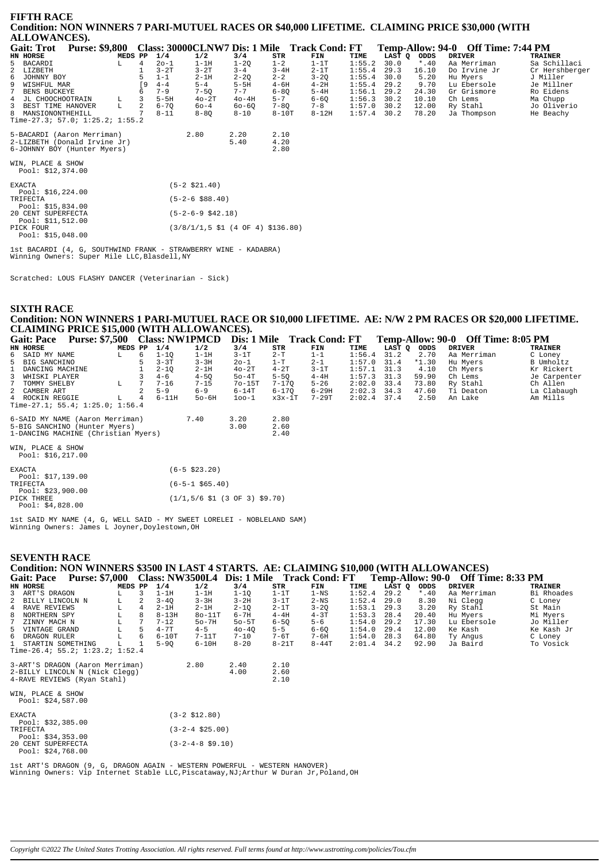| <b>FIFTH RACE</b><br>Condition: NON WINNERS 7 PARI-MUTUEL RACES OR \$40,000 LIFETIME. CLAIMING PRICE \$30,000 (WITH<br>ALLOWANCES). |         |               |                                                                                 |              |                      |           |        |        |         |                                    |                |
|-------------------------------------------------------------------------------------------------------------------------------------|---------|---------------|---------------------------------------------------------------------------------|--------------|----------------------|-----------|--------|--------|---------|------------------------------------|----------------|
| <b>Gait: Trot</b><br><b>Purse: \$9,800</b>                                                                                          |         |               | Class: 30000CLNW7 Dis: 1 Mile Track Cond: FT                                    |              |                      |           |        |        |         | Temp-Allow: 94-0 Off Time: 7:44 PM |                |
| HN HORSE                                                                                                                            | MEDS PP | 1/4           | 1/2                                                                             | 3/4          | STR                  | FIN       | TIME   | LAST Q | ODDS    | <b>DRIVER</b>                      | <b>TRAINER</b> |
| 5<br>BACARDI                                                                                                                        | L.      | $20 - 1$<br>4 | $1-1H$                                                                          | $1 - 20$     | $1 - 2$              | $1-1T$    | 1:55.2 | 30.0   | $*$ .40 | Aa Merriman                        | Sa Schillaci   |
| LIZBETH                                                                                                                             |         |               | $3-2T$<br>$3-2T$                                                                | $3 - 4$      | $3 - 4H$             | $2 - 1T$  | 1:55.4 | 29.3   | 16.10   | Do Irvine Jr                       | Cr Hershberger |
| 6<br>JOHNNY BOY                                                                                                                     |         | $1 - 1$       | $2 - 1H$                                                                        | $2 - 2Q$     | $2 - 2$              | $3 - 2Q$  | 1:55.4 | 30.0   | 5.20    | Hu Myers                           | J Miller       |
| 9<br>WISHFUL MAR                                                                                                                    |         | $4 - 4$       | $5 - 4$                                                                         | $5-5H$       | $4-6H$               | $4-2H$    | 1:55.4 | 29.2   | 9.70    | Lu Ebersole                        | Je Millner     |
| <b>BENS BUCKEYE</b>                                                                                                                 |         | $7 - 9$       | $7 - 5Q$                                                                        | $7 - 7$      | $6 - 80$             | $5-4H$    | 1:56.1 | 29.2   | 24.30   | Gr Grismore                        | Ro Eidens      |
| JL CHOOCHOOTRAIN<br>$\overline{4}$<br>L                                                                                             |         | 3<br>$5-5H$   | $40-2T$                                                                         | $40-4H$      | $5 - 7$              | $6 - 60$  | 1:56.3 | 30.2   | 10.10   | Ch Lems                            | Ma Chupp       |
| L.<br>BEST TIME HANOVER<br>3                                                                                                        |         | 2             | $6 - 70$<br>$60 - 4$                                                            | $60 - 60$    | $7 - 8Q$             | $7 - 8$   | 1:57.0 | 30.2   | 12.00   | Ry Stahl                           | Jo Oliverio    |
| 8 MANSIONONTHEHILL<br>Time-27.3; 57.0; $1:25.2$ ; $1:55.2$                                                                          |         | $8 - 11$      | $8 - 80$                                                                        | $8 - 10$     | $8-10T$              | $8 - 12H$ | 1:57.4 | 30.2   | 78.20   | Ja Thompson                        | He Beachy      |
| 5-BACARDI (Aaron Merriman)<br>2-LIZBETH (Donald Irvine Jr)<br>6-JOHNNY BOY (Hunter Myers)                                           |         |               | 2.80                                                                            | 2.20<br>5.40 | 2.10<br>4.20<br>2.80 |           |        |        |         |                                    |                |
| WIN, PLACE & SHOW<br>Pool: \$12,374.00                                                                                              |         |               |                                                                                 |              |                      |           |        |        |         |                                    |                |
| <b>EXACTA</b><br>Pool: $$16,224.00$                                                                                                 |         |               | $(5-2 \, $21.40)$                                                               |              |                      |           |        |        |         |                                    |                |
| TRIFECTA<br>Pool: \$15,834.00                                                                                                       |         |               | $(5-2-6$ \$88.40)                                                               |              |                      |           |        |        |         |                                    |                |
| 20 CENT SUPERFECTA<br>Pool: \$11,512.00                                                                                             |         |               | $(5-2-6-9$ \$42.18)                                                             |              |                      |           |        |        |         |                                    |                |
| PICK FOUR<br>Pool: $$15,048.00$                                                                                                     |         |               | $(3/8/1/1, 5 \text{ } 51 \text{ } (4 \text{ } 0F \text{ } 4) \text{ } $136.80)$ |              |                      |           |        |        |         |                                    |                |
| $1 \rightarrow +$ התתגרוג עובדה עם התחתמה של החיים המדינות החיים המדינות המחירה ב-1                                                 |         |               |                                                                                 |              |                      |           |        |        |         |                                    |                |

 $1st$  BACARDI  $(4, G,$  SOUTHWIND FRANK - STRAWBERRY WINE - KADABRA) Winning Owners: Super Mile LLC, Blasdell, NY

Scratched: LOUS FLASHY DANCER (Veterinarian - Sick)

# **SIXTH RACE** Condition: NON WINNERS 1 PARI-MUTUEL RACE OR \$10,000 LIFETIME. AE: N/W 2 PM RACES OR \$20,000 LIFETIME. CLAIMING PRICE \$15,000 (WITH ALLOWANCES).

| <b>Gait: Pace</b>                      | <b>Purse: \$7,500</b> |         |   |          | <b>Class: NW1PMCD</b>  | Dis: 1 Mile |          | Track Cond: FT |        |      |             | Temp-Allow: 90-0 Off Time: 8:05 PM |              |
|----------------------------------------|-----------------------|---------|---|----------|------------------------|-------------|----------|----------------|--------|------|-------------|------------------------------------|--------------|
| HN HORSE                               |                       | MEDS PP |   | 1/4      | 1/2                    | 3/4         | STR      | FIN            | TIME   |      | LAST Q ODDS | DRIVER                             | TRAINER      |
| 6 SAID MY NAME                         |                       | L       | 6 | $1 - 10$ | $1-1H$                 | $3-1T$      | $2-T$    | $1 - 1$        | 1:56.4 | 31.2 | 2.70        | Aa Merriman                        | C Loney      |
| 5 BIG SANCHINO                         |                       |         |   | $3 - 3T$ | $3 - 3H$               | $20 - 1$    | $1-T$    | $2 - 1$        | 1:57.0 | 31.4 | $*1.30$     | Hu Myers                           | B Umholtz    |
| DANCING MACHINE<br>$\mathbf{1}$        |                       |         |   | $2 - 10$ | $2-1H$                 | $40-2T$     | $4-2T$   | $3-1T$         | 1:57.1 | 31.3 | 4.10        | Ch Myers                           | Kr Rickert   |
| 3 WHISKI PLAYER                        |                       |         |   | $4 - 6$  | $4 - 50$               | $50-4T$     | $5 - 50$ | $4-4H$         | 1:57.3 | 31.3 | 59.90       | Ch Lems                            | Je Carpenter |
| 7 TOMMY SHELBY                         |                       | L       | 7 | $7 - 16$ | $7 - 15$               | $70-15T$    | 7-170    | $5 - 26$       | 2:02.0 | 33.4 | 73.80       | Ry Stahl                           | Ch Allen     |
| 2 CAMBER ART                           |                       |         |   | $5 - 9$  | $6 - 9$                | $6-14T$     | 6-170    | 6-29H          | 2:02.3 | 34.3 | 47.60       | Ti Deaton                          | La Clabaugh  |
| 4 ROCKIN REGGIE                        |                       | L       | 4 | $6-11H$  | $50-6H$                | $100-1$     | $x3x-1T$ | $7 - 29T$      | 2:02.4 | 37.4 | 2.50        | An Lake                            | Am Mills     |
| Time-27.1; 55.4; 1:25.0; 1:56.4        |                       |         |   |          |                        |             |          |                |        |      |             |                                    |              |
| 6-SAID MY NAME (Aaron Merriman)        |                       |         |   |          | 7.40                   | 3.20        | 2.80     |                |        |      |             |                                    |              |
| 5-BIG SANCHINO (Hunter Myers)          |                       |         |   |          |                        | 3.00        | 2.60     |                |        |      |             |                                    |              |
| 1-DANCING MACHINE (Christian Myers)    |                       |         |   |          |                        |             | 2.40     |                |        |      |             |                                    |              |
| WIN, PLACE & SHOW<br>Pool: \$16,217.00 |                       |         |   |          |                        |             |          |                |        |      |             |                                    |              |
|                                        |                       |         |   |          |                        |             |          |                |        |      |             |                                    |              |
| <b>EXACTA</b><br>Pool: \$17,139.00     |                       |         |   |          | $(6 - 5 \ $23.20)$     |             |          |                |        |      |             |                                    |              |
| TRIFECTA<br>.                          |                       |         |   |          | $(6 - 5 - 1 \ $65.40)$ |             |          |                |        |      |             |                                    |              |

TRIFECTA<br>Pool: \$23,900.00<br>PICK THREE  $(1/1, 5/6 \; \text{$1 (3 OF 3) $9.70)}$  $Pool: $4,828.00$ 

Ist SAID MY NAME (4, G, WELL SAID - MY SWEET LORELEI - NOBLELAND SAM)<br>Winning Owners: James L Joyner, Doylestown, OH

#### **SEVENTH RACE**

# Condition: NON WINNERS \$3500 IN LAST 4 STARTS. AE: CLAIMING \$10,000 (WITH ALLOWANCES)

| Gait: Pace                      | <b>Purse: \$7,000</b> |         |    |           | Class: NW3500L4 | Dis: 1 Mile |           | <b>Track Cond: FT</b> |               | Temp-Allow: 90-0 |         | Off Time: 8:33 PM |                |
|---------------------------------|-----------------------|---------|----|-----------|-----------------|-------------|-----------|-----------------------|---------------|------------------|---------|-------------------|----------------|
| HN HORSE                        |                       | MEDS PP |    | 1/4       | 1/2             | 3/4         | STR       | FIN                   | TIME          | LAST O           | ODDS    | DRIVER            | <b>TRAINER</b> |
| 3 ART'S DRAGON                  |                       | - 12    |    | $1-1H$    | $1-1H$          | $1 - 10$    | $1-1T$    | 1-NS                  | 1:52.4        | 29.2             | $*$ .40 | Aa Merriman       | Bi Rhoades     |
| 2 BILLY LINCOLN N               |                       | L.      | 2  | $3 - 40$  | $3 - 3H$        | $3-2H$      | $3-1T$    | $2-\text{NS}$         | 1:52.4        | 29.0             | 8.30    | Ni Clegg          | C Loney        |
| 4 RAVE REVIEWS                  |                       | L       | 4  | $2 - 1$ H | $2-1H$          | $2 - 10$    | $2-1T$    | $3 - 20$              | 1:53.1        | 29.3             | 3.20    | Ry Stahl          | St Main        |
| 8 NORTHERN SPY                  |                       | L       | 8  | $8 - 13H$ | $80-11T$        | 6-7H        | $4-4H$    | $4-3T$                | 1:53.3        | 28.4             | 20.40   | Hu Myers          | Mi Myers       |
| 7 ZINNY MACH N                  |                       | L.      |    | $7 - 12$  | $50-7H$         | $50-5T$     | $6 - 50$  | $5 - 6$               | 1:54.0        | 29.2             | 17.30   | Lu Ebersole       | Jo Miller      |
| 5 VINTAGE GRAND                 |                       | L       | 5. | $4 - 7T$  | $4 - 5$         | $40 - 40$   | $5 - 5$   | $6 - 60$              | 1:54.0        | 29.4             | 12.00   | Ke Kash           | Ke Kash Jr     |
| 6 DRAGON RULER                  |                       | L.      | -6 | $6 - 10T$ | $7-11T$         | $7 - 10$    | $7-6T$    | 7-6H                  | 1:54.0        | 28.3             | 64.80   | Ty Angus          | C Loney        |
| 1 STARTIN SOMETHING             |                       | L.      |    | $5 - 90$  | 6-10H           | $8 - 20$    | $8 - 21T$ | $8 - 44T$             | $2:01.4$ 34.2 |                  | 92.90   | Ja Baird          | To Vosick      |
| Time-26.4; 55.2; 1:23.2; 1:52.4 |                       |         |    |           |                 |             |           |                       |               |                  |         |                   |                |
| 3-ART'S DRAGON (Aaron Merriman) |                       |         |    |           | 2.80            | 2.40        | 2.10      |                       |               |                  |         |                   |                |
| 2-BILLY LINCOLN N (Nick Clegg)  |                       |         |    |           |                 | 4.00        | 2.60      |                       |               |                  |         |                   |                |
| 4-RAVE REVIEWS (Ryan Stahl)     |                       |         |    |           |                 |             | 2.10      |                       |               |                  |         |                   |                |

| WIN, PLACE & SHOW<br>Pool: \$24,587.00   |                           |
|------------------------------------------|---------------------------|
| <b>EXACTA</b>                            | $(3-2 \; \text{S}12.80)$  |
| Pool: $$32,385.00$<br>TRIFECTA           | $(3-2-4 \text{ } $25.00)$ |
| Pool: $$34,353.00$<br>20 CENT SUPERFECTA | $(3-2-4-8 \text{ }59.10)$ |
| Pool: \$24,768.00                        |                           |

lst ART'S DRAGON (9, G, DRAGON AGAIN - WESTERN POWERFUL - WESTERN HANOVER)<br>Winning Owners: Vip Internet Stable LLC, Piscataway, NJ; Arthur W Duran Jr, Poland, OH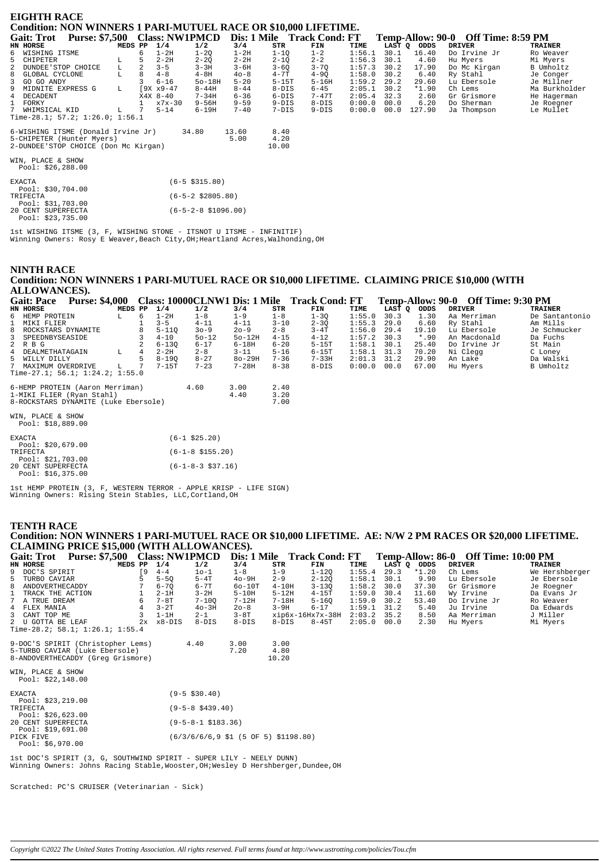| <b>EIGHTH RACE</b><br><b>Condition: NON WINNERS 1 PARI-MUTUEL RACE OR \$10,000 LIFETIME.</b> |                |                    |                      |          |                            |           |        |      |             |  |                                    |                |  |
|----------------------------------------------------------------------------------------------|----------------|--------------------|----------------------|----------|----------------------------|-----------|--------|------|-------------|--|------------------------------------|----------------|--|
|                                                                                              |                |                    |                      |          |                            |           |        |      |             |  |                                    |                |  |
| Purse: \$7,500 Class: NW1PMCD<br><b>Gait: Trot</b>                                           |                |                    |                      |          | Dis: 1 Mile Track Cond: FT |           |        |      |             |  | Temp-Allow: 90-0 Off Time: 8:59 PM |                |  |
| HN HORSE                                                                                     | MEDS PP        | 1/4                | 1/2                  | 3/4      | STR                        | FIN       | TIME   |      | LAST Q ODDS |  | <b>DRIVER</b>                      | <b>TRAINER</b> |  |
| 6 WISHING ITSME                                                                              | 6              | $1-2H$             | $1 - 2Q$             | $1-2H$   | $1 - 1Q$                   | $1 - 2$   | 1:56.1 | 30.1 | 16.40       |  | Do Irvine Jr                       | Ro Weaver      |  |
| 5<br>CHIPETER                                                                                | 5              | $2 - 2H$           | $2 - 2Q$             | $2 - 2H$ | $2 - 1Q$                   | $2 - 2$   | 1:56.3 | 30.1 | 4.60        |  | Hu Myers                           | Mi Myers       |  |
| L<br>2<br>DUNDEE'STOP CHOICE                                                                 | $\overline{a}$ | $3 - 5$            | $3 - 3H$             | $3 - 6H$ | $3 - 6Q$                   | $3 - 7Q$  | 1:57.3 | 30.2 | 17.90       |  | Do Mc Kirgan                       | B Umholtz      |  |
| GLOBAL CYCLONE<br>8<br>L                                                                     | 8              | $4 - 8$            | $4-8H$               | $40 - 8$ | $4 - 7T$                   | $4-9Q$    | 1:58.0 | 30.2 | 6.40        |  | Ry Stahl                           | Je Conger      |  |
| 3<br>GO GO ANDY                                                                              |                | $6 - 16$           | $50-18H$             | $5 - 20$ | $5-15T$                    | $5 - 16H$ | 1:59.2 | 29.2 | 29.60       |  | Lu Ebersole                        | Je Millner     |  |
| MIDNITE EXPRESS G<br>9<br>L.                                                                 |                | $[9X \times 9-47]$ | $8 - 44H$            | $8 - 44$ | $8-DIS$                    | $6 - 45$  | 2:05.1 | 30.2 | $*1.90$     |  | Ch Lems                            | Ma Burkholder  |  |
| 4 DECADENT                                                                                   |                | $X4X$ 8-40         | $7 - 34H$            | $6 - 36$ | $6-DIS$                    | $7 - 47T$ | 2:05.4 | 32.3 | 2.60        |  | Gr Grismore                        | He Hagerman    |  |
| $\mathbf{1}$<br>FORKY                                                                        |                | $x7x-30$           | $9 - 56H$            | $9 - 59$ | $9-DIS$                    | $8-DIS$   | 0:00.0 | 00.0 | 6.20        |  | Do Sherman                         | Je Roegner     |  |
| $7^{\circ}$<br>WHIMSICAL KID<br>L.                                                           |                | $5 - 14$           | $6 - 19H$            | $7 - 40$ | $7-DIS$                    | $9-DIS$   | 0:00.0 | 00.0 | 127.90      |  | Ja Thompson                        | Le Mullet      |  |
| Time-28.1; $57.2$ ; $1:26.0$ ; $1:56.1$                                                      |                |                    |                      |          |                            |           |        |      |             |  |                                    |                |  |
| 6-WISHING ITSME (Donald Irvine Jr)                                                           |                |                    | 34.80                | 13.60    | 8.40                       |           |        |      |             |  |                                    |                |  |
| 5-CHIPETER (Hunter Myers)                                                                    |                |                    |                      | 5.00     | 4.20                       |           |        |      |             |  |                                    |                |  |
| 2-DUNDEE'STOP CHOICE (Don Mc Kirgan)                                                         |                |                    |                      |          | 10.00                      |           |        |      |             |  |                                    |                |  |
| WIN, PLACE & SHOW                                                                            |                |                    |                      |          |                            |           |        |      |             |  |                                    |                |  |
| Pool: $$26, 288.00$                                                                          |                |                    |                      |          |                            |           |        |      |             |  |                                    |                |  |
|                                                                                              |                |                    |                      |          |                            |           |        |      |             |  |                                    |                |  |
| <b>EXACTA</b>                                                                                |                |                    | $(6-5 \; $315.80)$   |          |                            |           |        |      |             |  |                                    |                |  |
| Pool: \$30,704.00                                                                            |                |                    |                      |          |                            |           |        |      |             |  |                                    |                |  |
| TRIFECTA                                                                                     |                |                    | $(6-5-2 \ $2805.80)$ |          |                            |           |        |      |             |  |                                    |                |  |
| Pool: $$31,703.00$                                                                           |                |                    |                      |          |                            |           |        |      |             |  |                                    |                |  |
| 20 CENT SUPERFECTA                                                                           |                |                    | (6-5-2-8 \$1096.00)  |          |                            |           |        |      |             |  |                                    |                |  |

lst WISHING ITSME (3, F, WISHING STONE - ITSNOT U ITSME - INFINITIF)<br>Winning Owners: Rosy E Weaver, Beach City, OH; Heartland Acres, Walhonding, OH

#### **NINTH RACE** Condition: NON WINNERS 1 PARI-MUTUEL RACE OR \$10,000 LIFETIME. CLAIMING PRICE \$10,000 (WITH AT LOWANCES

|   | <b>Gait: Pace</b>                       | <b>Purse: \$4,000</b> |         |   |           |                      |           |          | Class: 10000CLNW1 Dis: 1 Mile Track Cond: FT |        |        |        |               | Temp-Allow: 90-0 Off Time: 9:30 PM |                |
|---|-----------------------------------------|-----------------------|---------|---|-----------|----------------------|-----------|----------|----------------------------------------------|--------|--------|--------|---------------|------------------------------------|----------------|
|   | HN HORSE                                |                       | MEDS PP |   | 1/4       | 1/2                  | 3/4       | STR      | FIN                                          | TIME   | LAST O | ODDS   | <b>DRIVER</b> |                                    | <b>TRAINER</b> |
| 6 | HEMP PROTEIN                            |                       | L.      | 6 | $1-2H$    | $1 - 8$              | $1 - 9$   | $1 - 8$  | $1 - 30$                                     | 1:55.0 | 30.3   | 1.30   |               | Aa Merriman                        | De Santantonio |
|   | MIKI FLIER                              |                       |         |   | $3 - 5$   | $4 - 11$             | $4 - 11$  | $3 - 10$ | $2 - 3Q$                                     | 1:55.3 | 29.0   | 6.60   | Ry Stahl      |                                    | Am Mills       |
| 8 | ROCKSTARS DYNAMITE                      |                       |         |   | $5 - 110$ | $30 - 9$             | $20 - 9$  | $2 - 8$  | $3-4T$                                       | 1:56.0 | 29.4   | 19.10  |               | Lu Ebersole                        | Je Schmucker   |
| 3 | SPEEDNBYSEASIDE                         |                       |         |   | $4 - 10$  | $50 - 12$            | $50-12H$  | $4 - 15$ | $4 - 12$                                     | 1:57.2 | 30.3   | $*.90$ |               | An Macdonald                       | Da Fuchs       |
|   | 2 R B G                                 |                       |         |   | $6 - 130$ | $6 - 17$             | $6 - 18H$ | $6 - 20$ | $5-15T$                                      | 1:58.1 | 30.1   | 25.40  |               | Do Irvine Jr                       | St Main        |
| 4 | DEALMETHATAGAIN                         |                       | L       | 4 | $2 - 2H$  | $2 - 8$              | $3 - 11$  | $5 - 16$ | $6-15T$                                      | 1:58.1 | 31.3   | 70.20  | Ni Clegg      |                                    | C Loney        |
| 5 | WILLY DILLY                             |                       |         |   | $8 - 190$ | $8 - 27$             | $80-29H$  | $7 - 36$ | $7 - 33H$                                    | 2:01.3 | 31.2   | 29.90  | An Lake       |                                    | Da Walski      |
|   | 7 MAXIMUM OVERDRIVE                     |                       | L       |   | $7-15T$   | $7 - 23$             | $7 - 28H$ | $8 - 38$ | $8-DIS$                                      | 0:00.0 | 00.0   | 67.00  | Hu Myers      |                                    | B Umholtz      |
|   | Time-27.1; $56.1$ ; $1:24.2$ ; $1:55.0$ |                       |         |   |           |                      |           |          |                                              |        |        |        |               |                                    |                |
|   | 6-HEMP PROTEIN (Aaron Merriman)         |                       |         |   |           | 4.60                 | 3.00      | 2.40     |                                              |        |        |        |               |                                    |                |
|   | 1-MIKI FLIER (Ryan Stahl)               |                       |         |   |           |                      | 4.40      | 3.20     |                                              |        |        |        |               |                                    |                |
|   | 8-ROCKSTARS DYNAMITE (Luke Ebersole)    |                       |         |   |           |                      |           | 7.00     |                                              |        |        |        |               |                                    |                |
|   |                                         |                       |         |   |           |                      |           |          |                                              |        |        |        |               |                                    |                |
|   | WIN, PLACE & SHOW                       |                       |         |   |           |                      |           |          |                                              |        |        |        |               |                                    |                |
|   | Pool: $$18,889.00$                      |                       |         |   |           |                      |           |          |                                              |        |        |        |               |                                    |                |
|   | <b>EXACTA</b>                           |                       |         |   |           | $(6-1$ \$25.20)      |           |          |                                              |        |        |        |               |                                    |                |
|   | Pool: $$20,679.00$                      |                       |         |   |           |                      |           |          |                                              |        |        |        |               |                                    |                |
|   | TRIFECTA                                |                       |         |   |           | $(6-1-8 \; $155.20)$ |           |          |                                              |        |        |        |               |                                    |                |

Pool: \$21,703.00<br>20 CENT SUPERFECTA<br>Pool: \$16,375.00 lst HEMP PROTEIN (3, F, WESTERN TERROR - APPLE KRISP - LIFE SIGN)<br>Winning Owners: Rising Stein Stables, LLC, Cortland, OH

 $(6-1-8-3$ \$37.16)

#### **TENTH RACE**

Pool: \$23,735.00

Condition: NON WINNERS 1 PARI-MUTUEL RACE OR \$10,000 LIFETIME. AE: N/W 2 PM RACES OR \$20,000 LIFETIME.<br>CLAIMING PRICE \$15,000 (WITH ALLOWANCES)

| CLAIMING FRICE \$15,000 (WITH ALLOWANCES). |         |    |                     |           |          |         |                                                          |        |               |         |                                     |                |
|--------------------------------------------|---------|----|---------------------|-----------|----------|---------|----------------------------------------------------------|--------|---------------|---------|-------------------------------------|----------------|
| <b>Gait: Trot</b>                          |         |    |                     |           |          |         | Purse: \$7,500 Class: NW1PMCD Dis: 1 Mile Track Cond: FT |        |               |         | Temp-Allow: 86-0 Off Time: 10:00 PM |                |
| HN HORSE                                   | MEDS PP |    | 1/4                 | 1/2       | 3/4      | STR     | FIN                                                      | TIME   | LAST O        | ODDS    | DRIVER                              | TRAINER        |
| 9 DOC'S SPIRIT                             |         | 9  | $4 - 4$             | $10 - 1$  | $1 - 8$  | $1 - 9$ | $1 - 120$                                                | 1:55.4 | 29.3          | $*1.20$ | Ch Lems                             | We Hershberger |
| 5 TURBO CAVIAR                             |         |    | $5 - 50$            | $5-4T$    | $40-9H$  | $2 - 9$ | $2 - 120$                                                | 1:58.1 | 30.1          | 9.90    | Lu Ebersole                         | Je Ebersole    |
| 8 ANDOVERTHECADDY                          |         |    | $6 - 70$            | $6 - 7T$  | $60-10T$ | $4-10H$ | $3 - 130$                                                | 1:58.2 | 30.0          | 37.30   | Gr Grismore                         | Je Roegner     |
| 1 TRACK THE ACTION                         |         |    | $2-1H$              | $3 - 2H$  | $5-10H$  | $5-12H$ | $4-15T$                                                  | 1:59.0 | 30.4          | 11.60   | Wy Irvine                           | Da Evans Jr    |
| 7 A TRUE DREAM                             |         | б. | 7-8T                | $7 - 100$ | 7-12H    | 7-18H   | $5 - 160$                                                |        | $1:59.0$ 30.2 | 53.40   | Do Irvine Jr                        | Ro Weaver      |
| 4 FLEX MANIA                               |         |    | $3 - 2T$            | $40 - 3H$ | $20 - 8$ | $3-9H$  | $6 - 17$                                                 | 1:59.1 | 31.2          | 5.40    | Ju Irvine                           | Da Edwards     |
| 3 CANT TOP ME                              |         |    | $1-1H$              | $2 - 1$   | $3-8T$   |         | xip6x-16Hx7x-38H                                         |        | $2:03.2$ 35.2 | 8.50    | Aa Merriman                         | J Miller       |
| 2 U GOTTA BE LEAF                          |         |    | $2x \times 8 - DIS$ | $8-DIS$   | 8-DIS    | 8-DIS   | 8-45T                                                    |        | $2:05.0$ 00.0 | 2.30    | Hu Myers                            | Mi Myers       |
| Time-28.2; 58.1; 1:26.1; 1:55.4            |         |    |                     |           |          |         |                                                          |        |               |         |                                     |                |

| 9-DOC'S SPIRIT (Christopher Lems) | 4.40 | 3.00 | 3.00  |
|-----------------------------------|------|------|-------|
| 5-TURBO CAVIAR (Luke Ebersole)    |      | 7.20 | 4.80  |
| 8-ANDOVERTHECADDY (Greg Grismore) |      |      | 10.20 |
|                                   |      |      |       |

WIN, PLACE & SHOW<br>Pool: \$22,148.00

| <b>EXACTA</b>                            | $(9 - 5 \text{ } $30.40)$                            |
|------------------------------------------|------------------------------------------------------|
| Pool: $$23, 219.00$<br>TRIFECTA          | $(9-5-8 \text{ } $439.40)$                           |
| Pool: $$26,623.00$<br>20 CENT SUPERFECTA | $(9-5-8-1 \; \text{S}183.36)$                        |
| Pool: $$19.691.00$<br>PICK FIVE          | $(6/3/6/6/6, 9 \; $1 \; (5 \; OF \; 5) \; $1198.80)$ |
| Pool: $$6,970.00$                        |                                                      |

lst DOC'S SPIRIT (3, G, SOUTHWIND SPIRIT - SUPER LILY - NEELY DUNN)<br>Winning Owners: Johns Racing Stable,Wooster,OH;Wesley D Hershberger,Dundee,OH

Scratched: PC'S CRUISER (Veterinarian - Sick)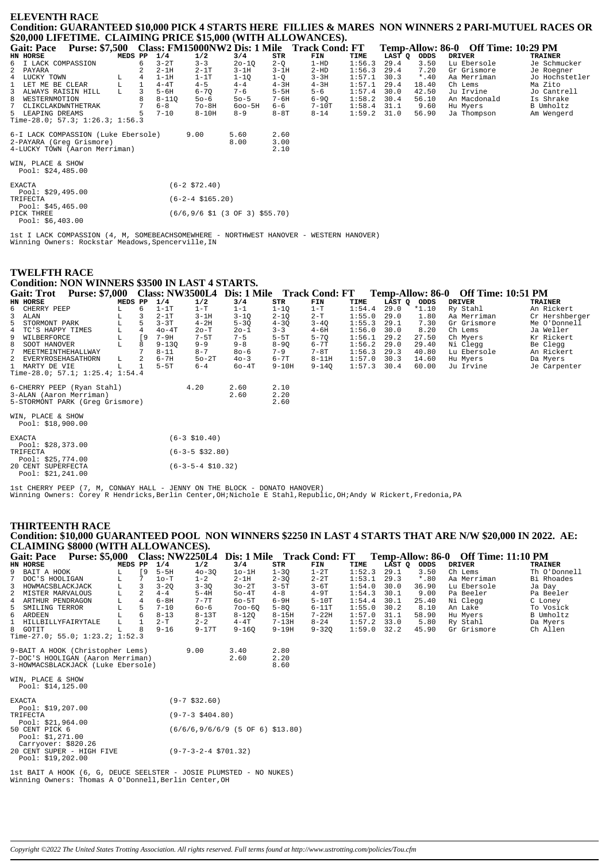## **ELEVENTH RACE** Condition: GUARANTEED \$10,000 PICK 4 STARTS HERE FILLIES & MARES NON WINNERS 2 PARI-MUTUEL RACES OR \$20,000 LIFETIME. CLAIMING PRICE \$15,000 (WITH ALLOWANCES).

| <b>Gait: Pace</b>                                    | <b>Purse: \$7,500</b> |         |   |           |                                                                              |            |         | Class: FM15000NW2 Dis: 1 Mile Track Cond: FT |               |        |         | Temp-Allow: 86-0 Off Time: 10:29 PM |                |
|------------------------------------------------------|-----------------------|---------|---|-----------|------------------------------------------------------------------------------|------------|---------|----------------------------------------------|---------------|--------|---------|-------------------------------------|----------------|
| HN HORSE                                             |                       | MEDS PP |   | 1/4       | 1/2                                                                          | 3/4        | STR     | FIN                                          | TIME          | LAST O | ODDS    | <b>DRIVER</b>                       | <b>TRAINER</b> |
| 6 I LACK COMPASSION                                  |                       |         | 6 | $3-2T$    | $3 - 3$                                                                      | $20 - 10$  | $2-Q$   | $1-HD$                                       | 1:56.3        | 29.4   | 3.50    | Lu Ebersole                         | Je Schmucker   |
| 2 PAYARA                                             |                       |         |   | $2-1H$    | $2-1T$                                                                       | $3-1H$     | $3-1H$  | $2-HD$                                       | 1:56.3        | 29.4   | 7.20    | Gr Grismore                         | Je Roegner     |
| 4 LUCKY TOWN                                         |                       | L.      | 4 | $1-1H$    | $1-1T$                                                                       | $1 - 10$   | $1 - Q$ | $3 - 3H$                                     | 1:57.1        | 30.3   | $*$ .40 | Aa Merriman                         | Jo Hochstetler |
| 1 LET ME BE CLEAR                                    |                       | L       |   | $4 - 4T$  | $4 - 5$                                                                      | $4 - 4$    | $4-3H$  | $4-3H$                                       | 1:57.1        | 29.4   | 18.40   | Ch Lems                             | Ma Zito        |
| 3 ALWAYS RAISIN HILL                                 |                       | L       |   | $5 - 6H$  | $6 - 70$                                                                     | $7 - 6$    | $5-5H$  | $5 - 6$                                      | 1:57.4        | 30.0   | 42.50   | Ju Irvine                           | Jo Cantrell    |
| 8 WESTERNMOTION                                      |                       |         |   | $8 - 110$ | $50 - 6$                                                                     | $50 - 5$   | 7-6H    | $6 - 90$                                     | 1:58.2        | 30.4   | 56.10   | An Macdonald                        | Is Shrake      |
| 7 CLIKCLAKDWNTHETRAK                                 |                       |         |   | $6 - 8$   | $7o-8H$                                                                      | $600 - 5H$ | 6-6     | 7-10T                                        | 1:58.4        | 31.1   | 9.60    | Hu Myers                            | B Umholtz      |
| 5 LEAPING DREAMS                                     |                       |         |   | $7 - 10$  | $8-10H$                                                                      | $8 - 9$    | $8-8T$  | $8 - 14$                                     | $1:59.2$ 31.0 |        | 56.90   | Ja Thompson                         | Am Wengerd     |
| Time-28.0; 57.3; 1:26.3; 1:56.3                      |                       |         |   |           |                                                                              |            |         |                                              |               |        |         |                                     |                |
| 6-I LACK COMPASSION (Luke Ebersole)                  |                       |         |   |           | 9.00                                                                         | 5.60       | 2.60    |                                              |               |        |         |                                     |                |
| 2-PAYARA (Greg Grismore)                             |                       |         |   |           |                                                                              | 8.00       | 3.00    |                                              |               |        |         |                                     |                |
| 4-LUCKY TOWN (Aaron Merriman)                        |                       |         |   |           |                                                                              |            | 2.10    |                                              |               |        |         |                                     |                |
| WIN, PLACE & SHOW<br>Pool: \$24,485.00               |                       |         |   |           |                                                                              |            |         |                                              |               |        |         |                                     |                |
| <b>EXACTA</b>                                        |                       |         |   |           | $(6-2 \, $72.40)$                                                            |            |         |                                              |               |        |         |                                     |                |
| Pool: $$29,495.00$<br>TRIFECTA<br>Pool: $$45,465.00$ |                       |         |   |           | $(6-2-4 \ $165.20)$                                                          |            |         |                                              |               |        |         |                                     |                |
| PICK THREE<br>Pool: $$6.403.00$                      |                       |         |   |           | $(6/6, 9/6 \text{ } $1 \text{ } (3 \text{ } 0F \text{ } 3) \text{ } $55.70)$ |            |         |                                              |               |        |         |                                     |                |

1st I LACK COMPASSION (4, M, SOMEBEACHSOMEWHERE - NORTHWEST HANOVER - WESTERN HANOVER)<br>Winning Owners: Rockstar Meadows, Spencerville, IN

#### **TWELFTH RACE**

# **Condition: NON WINNERS \$3500 IN LAST 4 STARTS.**

Gait: Trot Purse: \$7,000 Class: NW3500L4 Dis: 1 Mile Track Cond: FT Temp-Allow: 86-0 Off Time: 10:51 PM<br>EN HORSE MEDS PP 1/4 1/2 3/4 STR FIME TIME LAST Q ODDS DRIVER HN HORSE  $\frac{27}{3/4}$ TRAINER

| 6             | CHERRY PEEP                          |   | 6         | $1-1T$    | $1-T$                  | $1 - 1$  | $1 - 10$  | $1-T$     | 1:54.4 | 29.0 | $*1.10$ | Ry Stahl    | An Rickert     |  |  |
|---------------|--------------------------------------|---|-----------|-----------|------------------------|----------|-----------|-----------|--------|------|---------|-------------|----------------|--|--|
| 3             | ALAN                                 | L |           | $2-1T$    | $3-1H$                 | $3 - 10$ | $2 - 10$  | $2-T$     | 1:55.0 | 29.0 | 1.80    | Aa Merriman | Cr Hershberger |  |  |
| 5             | STORMONT PARK                        | L | 5         | $3 - 3T$  | $4-2H$                 | $5 - 3Q$ | $4 - 3Q$  | $3 - 4Q$  | 1:55.3 | 29.1 | 7.30    | Gr Grismore | Me O'Donnell   |  |  |
| 4             | TC'S HAPPY TIMES                     | L |           | $40 - 4T$ | $2o-T$                 | $20 - 1$ | $3 - 3$   | $4 - 6H$  | 1:56.0 | 30.0 | 8.20    | Ch Lems     | Ja Weller      |  |  |
| 9             | WILBERFORCE                          | L | <b>19</b> | $7-9H$    | $7 - 5T$               | $7 - 5$  | $5-5T$    | $5 - 70$  | 1:56.1 | 29.2 | 27.50   | Ch Myers    | Kr Rickert     |  |  |
| 8             | SOOT HANOVER                         | L |           | $9 - 130$ | $9 - 9$                | $9 - 8$  | $8 - 90$  | $6 - 7T$  | 1:56.2 | 29.0 | 29.40   | Ni Clegg    | Be Clegg       |  |  |
|               | MEETMEINTHEHALLWAY                   |   |           | $8 - 11$  | $8 - 7$                | $80 - 6$ | $7 - 9$   | $7-8T$    | 1:56.3 | 29.3 | 40.80   | Lu Ebersole | An Rickert     |  |  |
|               | EVERYROSEHASATHORN                   | L |           | $6 - 7H$  | $50-2T$                | $40 - 3$ | $6 - 7T$  | $8 - 11H$ | 1:57.0 | 30.3 | 14.60   | Hu Myers    | Da Myers       |  |  |
|               | 1 MARTY DE VIE                       |   |           | $5-5T$    | $6 - 4$                | $60-4T$  | $9 - 10H$ | $9 - 140$ | 1:57.3 | 30.4 | 60.00   | Ju Irvine   | Je Carpenter   |  |  |
|               | Time-28.0; 57.1; $1:25.4$ ; $1:54.4$ |   |           |           |                        |          |           |           |        |      |         |             |                |  |  |
|               |                                      |   |           |           |                        |          |           |           |        |      |         |             |                |  |  |
|               | 6-CHERRY PEEP (Ryan Stahl)           |   |           |           | 4.20                   | 2.60     | 2.10      |           |        |      |         |             |                |  |  |
|               | 3-ALAN (Aaron Merriman)              |   |           |           |                        | 2.60     | 2.20      |           |        |      |         |             |                |  |  |
|               | 5-STORMONT PARK (Greq Grismore)      |   |           |           |                        |          | 2.60      |           |        |      |         |             |                |  |  |
|               |                                      |   |           |           |                        |          |           |           |        |      |         |             |                |  |  |
|               | WIN, PLACE & SHOW                    |   |           |           |                        |          |           |           |        |      |         |             |                |  |  |
|               | Pool: $$18,900.00$                   |   |           |           |                        |          |           |           |        |      |         |             |                |  |  |
|               |                                      |   |           |           | $(6-3 \ $10.40)$       |          |           |           |        |      |         |             |                |  |  |
| <b>EXACTA</b> | Pool: $$28,373.00$                   |   |           |           |                        |          |           |           |        |      |         |             |                |  |  |
| TRIFECTA      |                                      |   |           |           | $(6 - 3 - 5 \ $32.80)$ |          |           |           |        |      |         |             |                |  |  |
|               | Pool: $$25,774.00$                   |   |           |           |                        |          |           |           |        |      |         |             |                |  |  |
|               | 20 CENT SUPERFECTA                   |   |           |           | $(6-3-5-4 \ $10.32)$   |          |           |           |        |      |         |             |                |  |  |
|               | Pool: $$21, 241.00$                  |   |           |           |                        |          |           |           |        |      |         |             |                |  |  |
|               |                                      |   |           |           |                        |          |           |           |        |      |         |             |                |  |  |

lst CHERRY PEEP (7, M, CONWAY HALL - JENNY ON THE BLOCK - DONATO HANOVER)<br>Winning Owners: Corey R Hendricks,Berlin Center,OH;Nichole E Stahl,Republic,OH;Andy W Rickert,Fredonia,PA

#### **THIRTEENTH RACE** Condition: \$10,000 GUARANTEED POOL NON WINNERS \$2250 IN LAST 4 STARTS THAT ARE N/W \$20,000 IN 2022. AE: **CLAIMING \$8000 (WITH ALLOWANCES).**<br>Gait: Pace Purse: \$5,000 Class: NW2250L4 Class: NW22501 4 Dis: 1 Mile Track Cond: FT Temp-Allow: 86-0 Off Time: 11:10 PM

|                                                                                                                           | Gall: Face Furse: $\phi$ 3,000 Class: IVV2230L4 DIS: I Mile Frack Cond: FT |         |                |          |                                        |                                      |           |           |               |             |         | Temp-Anow: 60-0 On Time: 11:10 FM |                |
|---------------------------------------------------------------------------------------------------------------------------|----------------------------------------------------------------------------|---------|----------------|----------|----------------------------------------|--------------------------------------|-----------|-----------|---------------|-------------|---------|-----------------------------------|----------------|
| HN HORSE                                                                                                                  |                                                                            | MEDS PP |                | 1/4      | 1/2                                    | 3/4                                  | STR       | FIN       | TIME          | LAST Q ODDS |         | <b>DRIVER</b>                     | <b>TRAINER</b> |
| 9 BAIT A HOOK                                                                                                             |                                                                            | L       | $\sqrt{9}$     | $5-5H$   | $40 - 30$                              | $1o-1H$                              | $1 - 30$  | $1-2T$    | 1:52.3        | 29.1        | 3.50    | Ch Lems                           | Th O'Donnell   |
| $7^{\circ}$<br>DOC'S HOOLIGAN                                                                                             |                                                                            | L       | 7              | $10-T$   | $1 - 2$                                | $2-1H$                               | $2 - 30$  | $2 - 2T$  | 1:53.1        | 29.3        | $*$ .80 | Aa Merriman                       | Bi Rhoades     |
| 3 HOWMACSBLACKJACK                                                                                                        |                                                                            | L       | 3              | $3 - 20$ | $3 - 30$                               | $30-2T$                              | $3-5T$    | $3-6T$    | 1:54.0        | 30.0        | 36.90   | Lu Ebersole                       | Ja Day         |
| 2 MISTER MARVALOUS                                                                                                        |                                                                            | L       |                | $4 - 4$  | $5-4H$                                 | $50-4T$                              | $4 - 8$   | $4-9T$    | 1:54.3        | 30.1        | 9.00    | Pa Beeler                         | Pa Beeler      |
| 4 ARTHUR PENDRAGON                                                                                                        |                                                                            | L       | $\overline{4}$ | $6-8H$   | $7 - 7T$                               | $60 - 5T$                            | $6-9H$    | $5-10T$   | 1:54.4        | 30.1        | 25.40   | Ni Clegg                          | C Loney        |
| 5 SMILING TERROR                                                                                                          |                                                                            | L       | .5             | $7 - 10$ | $60 - 6$                               | $700 - 60$                           | $5 - 80$  | $6-11T$   | 1:55.0        | 30.2        | 8.10    | An Lake                           | To Vosick      |
| 6 ARDEEN                                                                                                                  |                                                                            |         | 6              | $8 - 13$ | $8-13T$                                | $8 - 120$                            | $8 - 15H$ | $7 - 22H$ | $1:57.0$ 31.1 |             | 58.90   | Hu Myers                          | B Umholtz      |
| 1 HILLBILLYFAIRYTALE                                                                                                      |                                                                            | L       |                | $2-T$    | $2 - 2$                                | $4-4T$                               | $7 - 13H$ | $8 - 24$  | $1:57.2$ 33.0 |             | 5.80    | Ry Stahl                          | Da Myers       |
| 8 GOTIT                                                                                                                   |                                                                            |         | 8              | $9 - 16$ | $9-17T$                                | $9 - 160$                            | $9 - 19H$ | $9 - 320$ | 1:59.0        | 32.2        | 45.90   | Gr Grismore                       | Ch Allen       |
|                                                                                                                           | Time-27.0; 55.0; 1:23.2; 1:52.3                                            |         |                |          |                                        |                                      |           |           |               |             |         |                                   |                |
|                                                                                                                           | 9-BAIT A HOOK (Christopher Lems)                                           |         |                |          | 9.00                                   | 3.40                                 | 2.80      |           |               |             |         |                                   |                |
|                                                                                                                           | 7-DOC'S HOOLIGAN (Aaron Merriman)                                          |         |                |          |                                        | 2.60                                 | 2.20      |           |               |             |         |                                   |                |
|                                                                                                                           | 3-HOWMACSBLACKJACK (Luke Ebersole)                                         |         |                |          |                                        |                                      | 8.60      |           |               |             |         |                                   |                |
| WIN, PLACE & SHOW<br>Pool: \$14,125.00                                                                                    |                                                                            |         |                |          |                                        |                                      |           |           |               |             |         |                                   |                |
| <b>EXACTA</b><br>Pool: \$19,207.00                                                                                        |                                                                            |         |                |          | $(9 - 7 \ $32.60)$                     |                                      |           |           |               |             |         |                                   |                |
| TRIFECTA<br>Pool: \$21,964.00                                                                                             |                                                                            |         |                |          | $(9 - 7 - 3 \ $404.80)$                |                                      |           |           |               |             |         |                                   |                |
| 50 CENT PICK 6<br>Pool: \$1,271.00<br>Carryover: \$820.26                                                                 |                                                                            |         |                |          |                                        | $(6/6/6, 9/6/6/9)$ (5 OF 6) \$13.80) |           |           |               |             |         |                                   |                |
| Pool: \$19,202.00                                                                                                         | 20 CENT SUPER - HIGH FIVE                                                  |         |                |          | $(9 - 7 - 3 - 2 - 4 \text{ } $701.32)$ |                                      |           |           |               |             |         |                                   |                |
| 1st BAIT A HOOK (6, G, DEUCE SEELSTER - JOSIE PLUMSTED - NO NUKES)<br>Winning Owners: Thomas A O'Donnell Berlin Center OH |                                                                            |         |                |          |                                        |                                      |           |           |               |             |         |                                   |                |

ng (